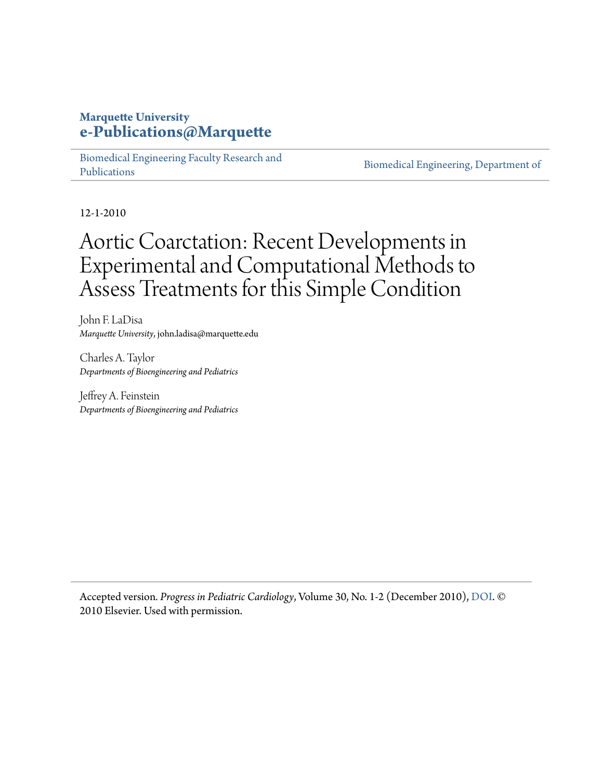# **Marquette University [e-Publications@Marquette](https://epublications.marquette.edu)**

[Biomedical Engineering Faculty Research and](https://epublications.marquette.edu/bioengin_fac) [Publications](https://epublications.marquette.edu/bioengin_fac)

[Biomedical Engineering, Department of](https://epublications.marquette.edu/bioengin)

12-1-2010

# Aortic Coarctation: Recent Developments in Experimental and Computational Methods to Assess Treatments for this Simple Condition

John F. LaDisa *Marquette University*, john.ladisa@marquette.edu

Charles A. Taylor *Departments of Bioengineering and Pediatrics*

Jeffrey A. Feinstein *Departments of Bioengineering and Pediatrics*

Accepted version*. Progress in Pediatric Cardiology*, Volume 30, No. 1-2 (December 2010), [DOI](http://dx.doi.org/10.1016/j.ppedcard.2010.09.006). © 2010 Elsevier. Used with permission.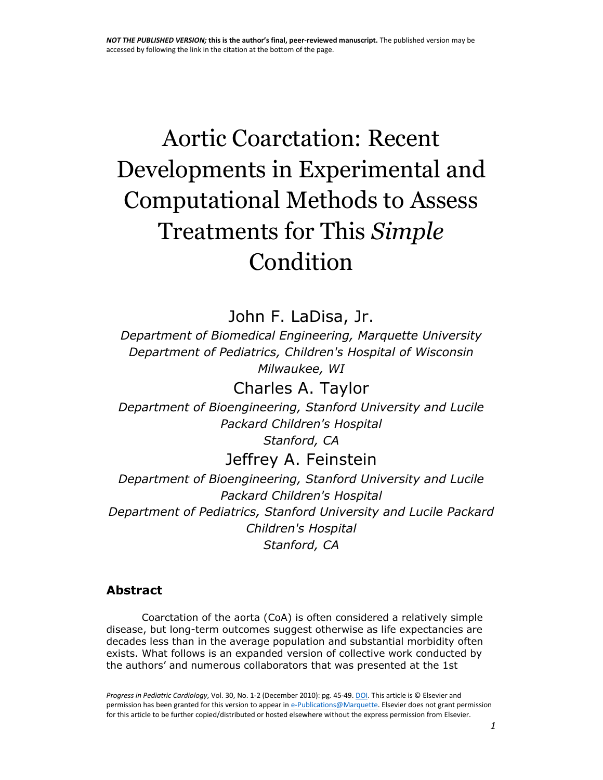# Aortic Coarctation: Recent Developments in Experimental and Computational Methods to Assess Treatments for This *Simple* Condition

# John F. LaDisa, Jr.

*Department of Biomedical Engineering, Marquette University Department of Pediatrics, Children's Hospital of Wisconsin Milwaukee, WI*

# Charles A. Taylor

*Department of Bioengineering, Stanford University and Lucile Packard Children's Hospital Stanford, CA*

# Jeffrey A. Feinstein

*Department of Bioengineering, Stanford University and Lucile Packard Children's Hospital Department of Pediatrics, Stanford University and Lucile Packard Children's Hospital Stanford, CA*

### **Abstract**

Coarctation of the aorta (CoA) is often considered a relatively simple disease, but long-term outcomes suggest otherwise as life expectancies are decades less than in the average population and substantial morbidity often exists. What follows is an expanded version of collective work conducted by the authors' and numerous collaborators that was presented at the 1st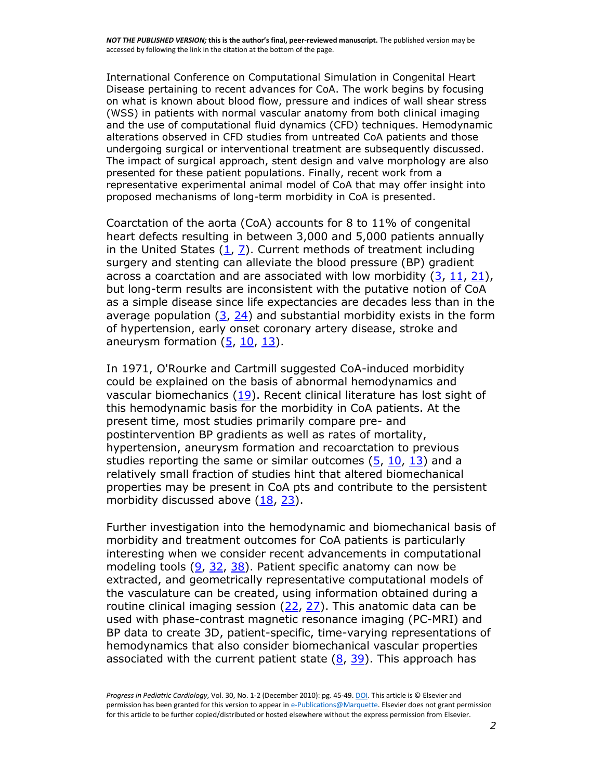International Conference on Computational Simulation in Congenital Heart Disease pertaining to recent advances for CoA. The work begins by focusing on what is known about blood flow, pressure and indices of wall shear stress (WSS) in patients with normal vascular anatomy from both clinical imaging and the use of computational fluid dynamics (CFD) techniques. Hemodynamic alterations observed in CFD studies from untreated CoA patients and those undergoing surgical or interventional treatment are subsequently discussed. The impact of surgical approach, stent design and valve morphology are also presented for these patient populations. Finally, recent work from a representative experimental animal model of CoA that may offer insight into proposed mechanisms of long-term morbidity in CoA is presented.

Coarctation of the aorta (CoA) accounts for 8 to 11% of congenital heart defects resulting in between 3,000 and 5,000 patients annually in the United States  $(1, 7)$  $(1, 7)$ . Current methods of treatment including surgery and stenting can alleviate the blood pressure (BP) gradient across a coarctation and are associated with low morbidity [\(3,](http://www.ncbi.nlm.nih.gov/pmc/articles/PMC2997687/#R3) [11,](http://www.ncbi.nlm.nih.gov/pmc/articles/PMC2997687/#R11) [21\)](http://www.ncbi.nlm.nih.gov/pmc/articles/PMC2997687/#R21), but long-term results are inconsistent with the putative notion of CoA as a simple disease since life expectancies are decades less than in the average population  $(3, 24)$  $(3, 24)$  and substantial morbidity exists in the form of hypertension, early onset coronary artery disease, stroke and aneurysm formation [\(5,](http://www.ncbi.nlm.nih.gov/pmc/articles/PMC2997687/#R5) [10,](http://www.ncbi.nlm.nih.gov/pmc/articles/PMC2997687/#R10) [13\)](http://www.ncbi.nlm.nih.gov/pmc/articles/PMC2997687/#R13).

In 1971, O'Rourke and Cartmill suggested CoA-induced morbidity could be explained on the basis of abnormal hemodynamics and vascular biomechanics  $(19)$ . Recent clinical literature has lost sight of this hemodynamic basis for the morbidity in CoA patients. At the present time, most studies primarily compare pre- and postintervention BP gradients as well as rates of mortality, hypertension, aneurysm formation and recoarctation to previous studies reporting the same or similar outcomes [\(5,](http://www.ncbi.nlm.nih.gov/pmc/articles/PMC2997687/#R5) [10,](http://www.ncbi.nlm.nih.gov/pmc/articles/PMC2997687/#R10) [13\)](http://www.ncbi.nlm.nih.gov/pmc/articles/PMC2997687/#R13) and a relatively small fraction of studies hint that altered biomechanical properties may be present in CoA pts and contribute to the persistent morbidity discussed above [\(18,](http://www.ncbi.nlm.nih.gov/pmc/articles/PMC2997687/#R18) [23\)](http://www.ncbi.nlm.nih.gov/pmc/articles/PMC2997687/#R23).

Further investigation into the hemodynamic and biomechanical basis of morbidity and treatment outcomes for CoA patients is particularly interesting when we consider recent advancements in computational modeling tools  $(9, 32, 38)$  $(9, 32, 38)$  $(9, 32, 38)$ . Patient specific anatomy can now be extracted, and geometrically representative computational models of the vasculature can be created, using information obtained during a routine clinical imaging session  $(22, 27)$  $(22, 27)$ . This anatomic data can be used with phase-contrast magnetic resonance imaging (PC-MRI) and BP data to create 3D, patient-specific, time-varying representations of hemodynamics that also consider biomechanical vascular properties associated with the current patient state  $(8, 39)$  $(8, 39)$ . This approach has

*Progress in Pediatric Cardiology*, Vol. 30, No. 1-2 (December 2010): pg. 45-49[. DOI.](http://dx.doi.org/10.1016/j.ppedcard.2010.09.006) This article is © Elsevier and permission has been granted for this version to appear i[n e-Publications@Marquette.](http://epublications.marquette.edu/) Elsevier does not grant permission for this article to be further copied/distributed or hosted elsewhere without the express permission from Elsevier.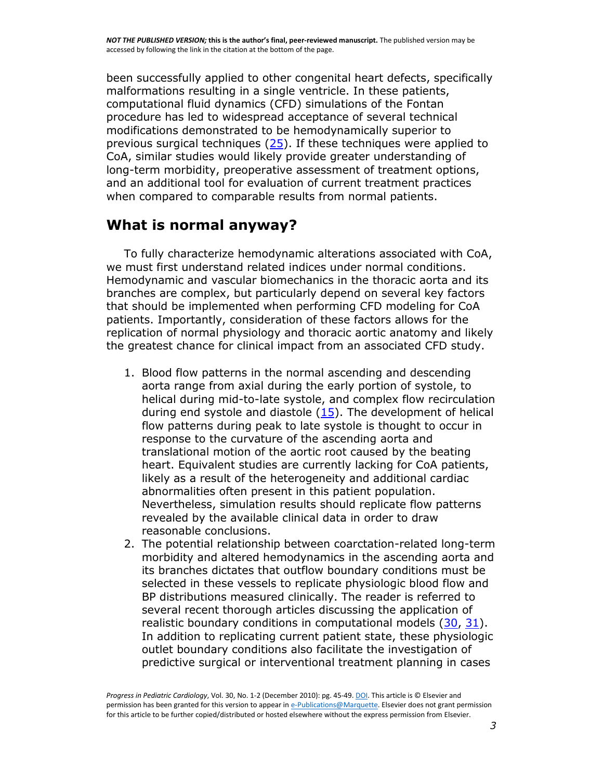been successfully applied to other congenital heart defects, specifically malformations resulting in a single ventricle. In these patients, computational fluid dynamics (CFD) simulations of the Fontan procedure has led to widespread acceptance of several technical modifications demonstrated to be hemodynamically superior to previous surgical techniques [\(25\)](http://www.ncbi.nlm.nih.gov/pmc/articles/PMC2997687/#R25). If these techniques were applied to CoA, similar studies would likely provide greater understanding of long-term morbidity, preoperative assessment of treatment options, and an additional tool for evaluation of current treatment practices when compared to comparable results from normal patients.

# **What is normal anyway?**

To fully characterize hemodynamic alterations associated with CoA, we must first understand related indices under normal conditions. Hemodynamic and vascular biomechanics in the thoracic aorta and its branches are complex, but particularly depend on several key factors that should be implemented when performing CFD modeling for CoA patients. Importantly, consideration of these factors allows for the replication of normal physiology and thoracic aortic anatomy and likely the greatest chance for clinical impact from an associated CFD study.

- 1. Blood flow patterns in the normal ascending and descending aorta range from axial during the early portion of systole, to helical during mid-to-late systole, and complex flow recirculation during end systole and diastole  $(15)$ . The development of helical flow patterns during peak to late systole is thought to occur in response to the curvature of the ascending aorta and translational motion of the aortic root caused by the beating heart. Equivalent studies are currently lacking for CoA patients, likely as a result of the heterogeneity and additional cardiac abnormalities often present in this patient population. Nevertheless, simulation results should replicate flow patterns revealed by the available clinical data in order to draw reasonable conclusions.
- 2. The potential relationship between coarctation-related long-term morbidity and altered hemodynamics in the ascending aorta and its branches dictates that outflow boundary conditions must be selected in these vessels to replicate physiologic blood flow and BP distributions measured clinically. The reader is referred to several recent thorough articles discussing the application of realistic boundary conditions in computational models [\(30,](http://www.ncbi.nlm.nih.gov/pmc/articles/PMC2997687/#R30) [31\)](http://www.ncbi.nlm.nih.gov/pmc/articles/PMC2997687/#R31). In addition to replicating current patient state, these physiologic outlet boundary conditions also facilitate the investigation of predictive surgical or interventional treatment planning in cases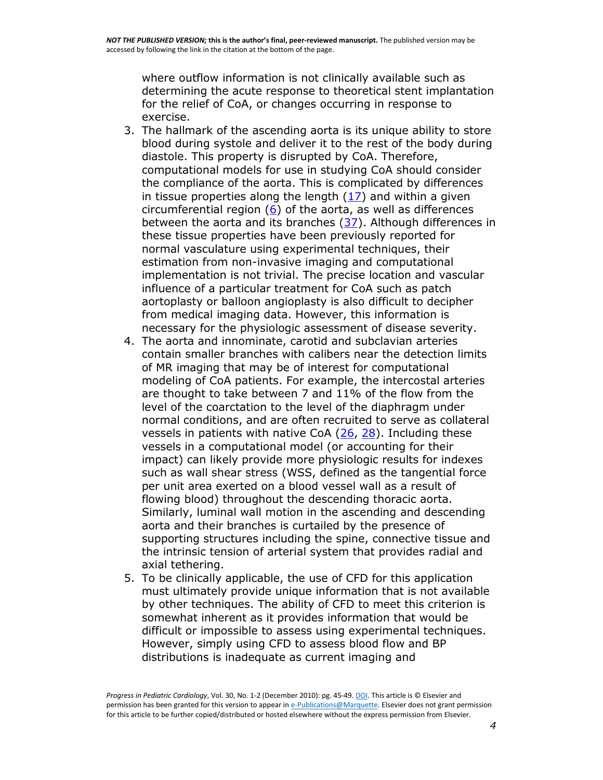where outflow information is not clinically available such as determining the acute response to theoretical stent implantation for the relief of CoA, or changes occurring in response to exercise.

- 3. The hallmark of the ascending aorta is its unique ability to store blood during systole and deliver it to the rest of the body during diastole. This property is disrupted by CoA. Therefore, computational models for use in studying CoA should consider the compliance of the aorta. This is complicated by differences in tissue properties along the length  $(17)$  and within a given circumferential region [\(6\)](http://www.ncbi.nlm.nih.gov/pmc/articles/PMC2997687/#R6) of the aorta, as well as differences between the aorta and its branches [\(37\)](http://www.ncbi.nlm.nih.gov/pmc/articles/PMC2997687/#R37). Although differences in these tissue properties have been previously reported for normal vasculature using experimental techniques, their estimation from non-invasive imaging and computational implementation is not trivial. The precise location and vascular influence of a particular treatment for CoA such as patch aortoplasty or balloon angioplasty is also difficult to decipher from medical imaging data. However, this information is necessary for the physiologic assessment of disease severity.
- 4. The aorta and innominate, carotid and subclavian arteries contain smaller branches with calibers near the detection limits of MR imaging that may be of interest for computational modeling of CoA patients. For example, the intercostal arteries are thought to take between 7 and 11% of the flow from the level of the coarctation to the level of the diaphragm under normal conditions, and are often recruited to serve as collateral vessels in patients with native CoA [\(26,](http://www.ncbi.nlm.nih.gov/pmc/articles/PMC2997687/#R26) [28\)](http://www.ncbi.nlm.nih.gov/pmc/articles/PMC2997687/#R28). Including these vessels in a computational model (or accounting for their impact) can likely provide more physiologic results for indexes such as wall shear stress (WSS, defined as the tangential force per unit area exerted on a blood vessel wall as a result of flowing blood) throughout the descending thoracic aorta. Similarly, luminal wall motion in the ascending and descending aorta and their branches is curtailed by the presence of supporting structures including the spine, connective tissue and the intrinsic tension of arterial system that provides radial and axial tethering.
- 5. To be clinically applicable, the use of CFD for this application must ultimately provide unique information that is not available by other techniques. The ability of CFD to meet this criterion is somewhat inherent as it provides information that would be difficult or impossible to assess using experimental techniques. However, simply using CFD to assess blood flow and BP distributions is inadequate as current imaging and

*Progress in Pediatric Cardiology, Vol.* 30, No. 1-2 (December 2010): pg. 45-49. **DOI. This article is © Elsevier and** permission has been granted for this version to appear i[n e-Publications@Marquette.](http://epublications.marquette.edu/) Elsevier does not grant permission for this article to be further copied/distributed or hosted elsewhere without the express permission from Elsevier.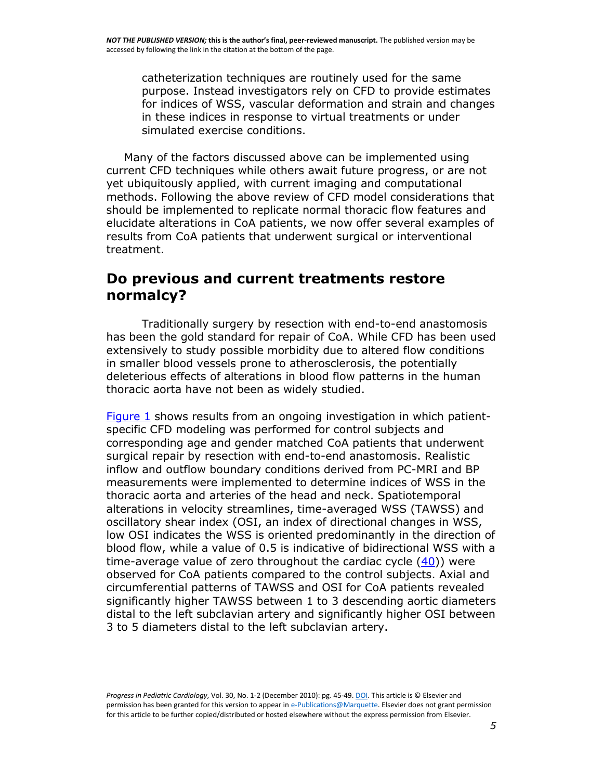catheterization techniques are routinely used for the same purpose. Instead investigators rely on CFD to provide estimates for indices of WSS, vascular deformation and strain and changes in these indices in response to virtual treatments or under simulated exercise conditions.

Many of the factors discussed above can be implemented using current CFD techniques while others await future progress, or are not yet ubiquitously applied, with current imaging and computational methods. Following the above review of CFD model considerations that should be implemented to replicate normal thoracic flow features and elucidate alterations in CoA patients, we now offer several examples of results from CoA patients that underwent surgical or interventional treatment.

### **Do previous and current treatments restore normalcy?**

Traditionally surgery by resection with end-to-end anastomosis has been the gold standard for repair of CoA. While CFD has been used extensively to study possible morbidity due to altered flow conditions in smaller blood vessels prone to atherosclerosis, the potentially deleterious effects of alterations in blood flow patterns in the human thoracic aorta have not been as widely studied.

[Figure 1](http://www.ncbi.nlm.nih.gov/pmc/articles/PMC2997687/figure/F1/) shows results from an ongoing investigation in which patientspecific CFD modeling was performed for control subjects and corresponding age and gender matched CoA patients that underwent surgical repair by resection with end-to-end anastomosis. Realistic inflow and outflow boundary conditions derived from PC-MRI and BP measurements were implemented to determine indices of WSS in the thoracic aorta and arteries of the head and neck. Spatiotemporal alterations in velocity streamlines, time-averaged WSS (TAWSS) and oscillatory shear index (OSI, an index of directional changes in WSS, low OSI indicates the WSS is oriented predominantly in the direction of blood flow, while a value of 0.5 is indicative of bidirectional WSS with a time-average value of zero throughout the cardiac cycle  $(40)$ ) were observed for CoA patients compared to the control subjects. Axial and circumferential patterns of TAWSS and OSI for CoA patients revealed significantly higher TAWSS between 1 to 3 descending aortic diameters distal to the left subclavian artery and significantly higher OSI between 3 to 5 diameters distal to the left subclavian artery.

*Progress in Pediatric Cardiology*, Vol. 30, No. 1-2 (December 2010): pg. 45-49[. DOI.](http://dx.doi.org/10.1016/j.ppedcard.2010.09.006) This article is © Elsevier and permission has been granted for this version to appear i[n e-Publications@Marquette.](http://epublications.marquette.edu/) Elsevier does not grant permission for this article to be further copied/distributed or hosted elsewhere without the express permission from Elsevier.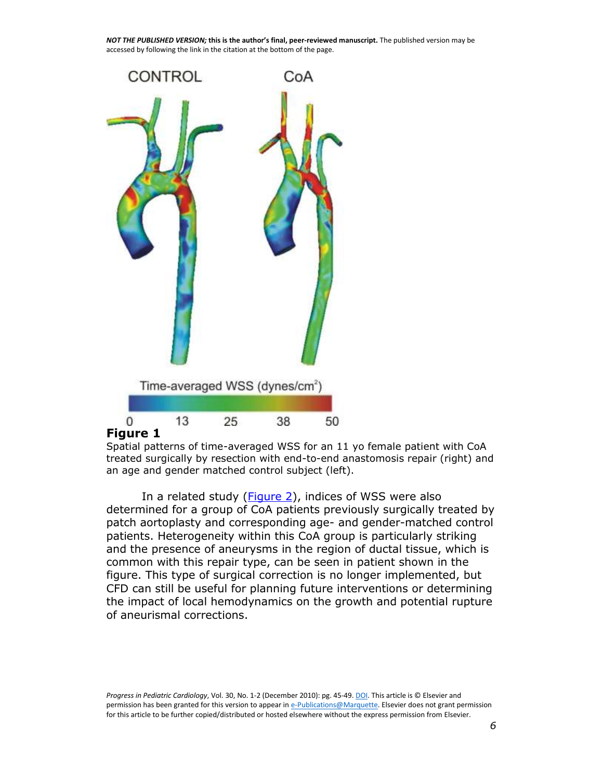

Spatial patterns of time-averaged WSS for an 11 yo female patient with CoA treated surgically by resection with end-to-end anastomosis repair (right) and an age and gender matched control subject (left).

In a related study [\(Figure 2\)](http://www.ncbi.nlm.nih.gov/pmc/articles/PMC2997687/figure/F2/), indices of WSS were also determined for a group of CoA patients previously surgically treated by patch aortoplasty and corresponding age- and gender-matched control patients. Heterogeneity within this CoA group is particularly striking and the presence of aneurysms in the region of ductal tissue, which is common with this repair type, can be seen in patient shown in the figure. This type of surgical correction is no longer implemented, but CFD can still be useful for planning future interventions or determining the impact of local hemodynamics on the growth and potential rupture of aneurismal corrections.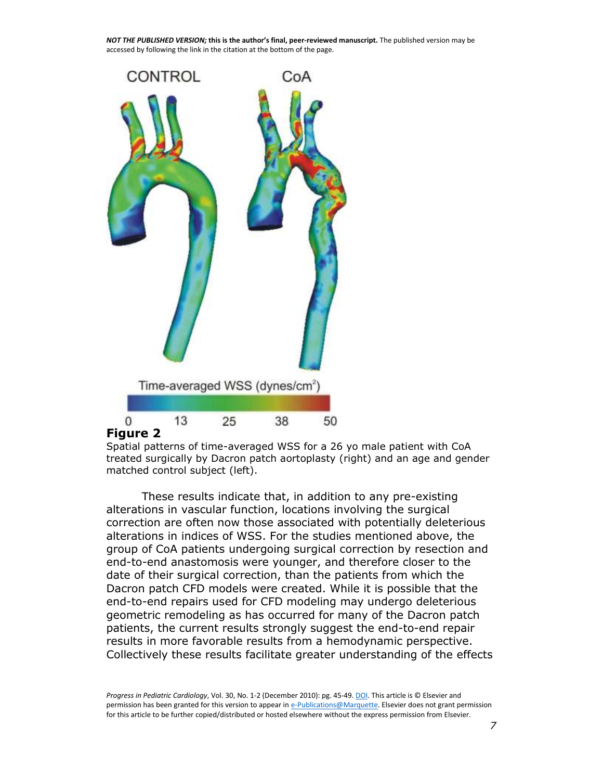

Spatial patterns of time-averaged WSS for a 26 yo male patient with CoA treated surgically by Dacron patch aortoplasty (right) and an age and gender matched control subject (left).

These results indicate that, in addition to any pre-existing alterations in vascular function, locations involving the surgical correction are often now those associated with potentially deleterious alterations in indices of WSS. For the studies mentioned above, the group of CoA patients undergoing surgical correction by resection and end-to-end anastomosis were younger, and therefore closer to the date of their surgical correction, than the patients from which the Dacron patch CFD models were created. While it is possible that the end-to-end repairs used for CFD modeling may undergo deleterious geometric remodeling as has occurred for many of the Dacron patch patients, the current results strongly suggest the end-to-end repair results in more favorable results from a hemodynamic perspective. Collectively these results facilitate greater understanding of the effects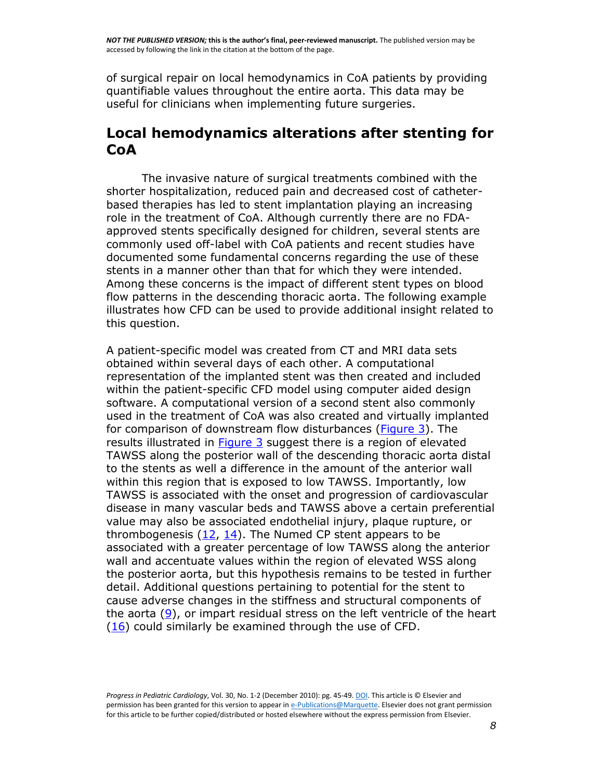of surgical repair on local hemodynamics in CoA patients by providing quantifiable values throughout the entire aorta. This data may be useful for clinicians when implementing future surgeries.

### **Local hemodynamics alterations after stenting for CoA**

The invasive nature of surgical treatments combined with the shorter hospitalization, reduced pain and decreased cost of catheterbased therapies has led to stent implantation playing an increasing role in the treatment of CoA. Although currently there are no FDAapproved stents specifically designed for children, several stents are commonly used off-label with CoA patients and recent studies have documented some fundamental concerns regarding the use of these stents in a manner other than that for which they were intended. Among these concerns is the impact of different stent types on blood flow patterns in the descending thoracic aorta. The following example illustrates how CFD can be used to provide additional insight related to this question.

A patient-specific model was created from CT and MRI data sets obtained within several days of each other. A computational representation of the implanted stent was then created and included within the patient-specific CFD model using computer aided design software. A computational version of a second stent also commonly used in the treatment of CoA was also created and virtually implanted for comparison of downstream flow disturbances [\(Figure 3\)](http://www.ncbi.nlm.nih.gov/pmc/articles/PMC2997687/figure/F3/). The results illustrated in **Figure 3** suggest there is a region of elevated TAWSS along the posterior wall of the descending thoracic aorta distal to the stents as well a difference in the amount of the anterior wall within this region that is exposed to low TAWSS. Importantly, low TAWSS is associated with the onset and progression of cardiovascular disease in many vascular beds and TAWSS above a certain preferential value may also be associated endothelial injury, plaque rupture, or thrombogenesis  $(12, 14)$  $(12, 14)$ . The Numed CP stent appears to be associated with a greater percentage of low TAWSS along the anterior wall and accentuate values within the region of elevated WSS along the posterior aorta, but this hypothesis remains to be tested in further detail. Additional questions pertaining to potential for the stent to cause adverse changes in the stiffness and structural components of the aorta [\(9\)](http://www.ncbi.nlm.nih.gov/pmc/articles/PMC2997687/#R9), or impart residual stress on the left ventricle of the heart [\(16\)](http://www.ncbi.nlm.nih.gov/pmc/articles/PMC2997687/#R16) could similarly be examined through the use of CFD.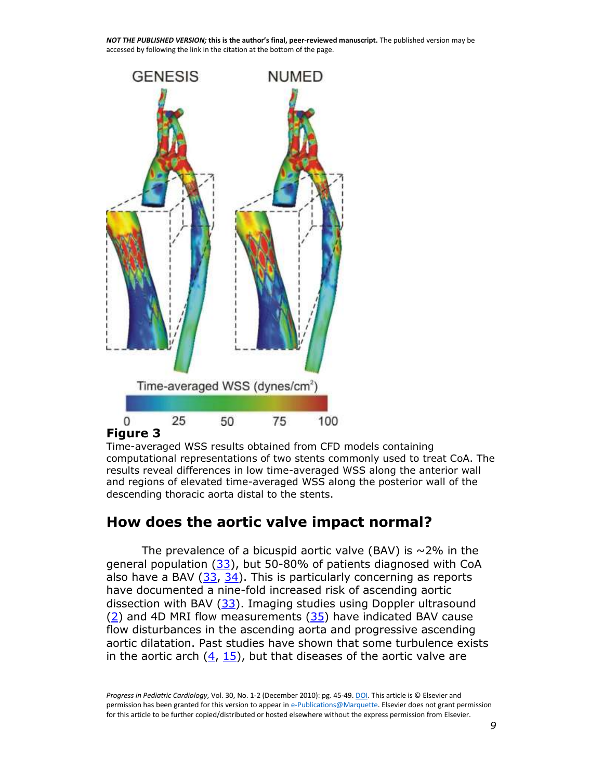

Time-averaged WSS results obtained from CFD models containing computational representations of two stents commonly used to treat CoA. The results reveal differences in low time-averaged WSS along the anterior wall and regions of elevated time-averaged WSS along the posterior wall of the descending thoracic aorta distal to the stents.

### **How does the aortic valve impact normal?**

The prevalence of a bicuspid aortic valve (BAV) is  $\sim$ 2% in the general population  $(33)$ , but 50-80% of patients diagnosed with CoA also have a BAV  $(33, 34)$  $(33, 34)$ . This is particularly concerning as reports have documented a nine-fold increased risk of ascending aortic dissection with BAV  $(33)$ . Imaging studies using Doppler ultrasound  $(2)$  and 4D MRI flow measurements  $(35)$  have indicated BAV cause flow disturbances in the ascending aorta and progressive ascending aortic dilatation. Past studies have shown that some turbulence exists in the aortic arch  $(4, 15)$  $(4, 15)$ , but that diseases of the aortic valve are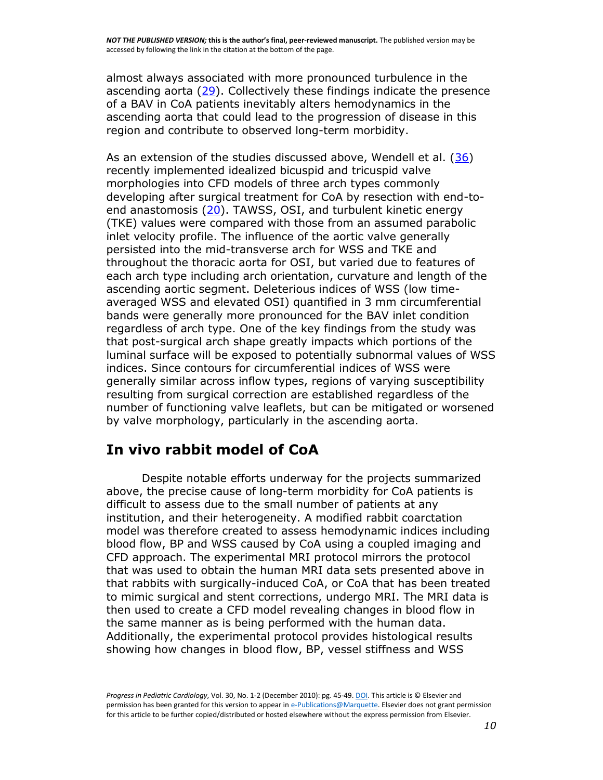almost always associated with more pronounced turbulence in the ascending aorta [\(29\)](http://www.ncbi.nlm.nih.gov/pmc/articles/PMC2997687/#R29). Collectively these findings indicate the presence of a BAV in CoA patients inevitably alters hemodynamics in the ascending aorta that could lead to the progression of disease in this region and contribute to observed long-term morbidity.

As an extension of the studies discussed above, Wendell et al. [\(36\)](http://www.ncbi.nlm.nih.gov/pmc/articles/PMC2997687/#R36) recently implemented idealized bicuspid and tricuspid valve morphologies into CFD models of three arch types commonly developing after surgical treatment for CoA by resection with end-to-end anastomosis [\(20\)](http://www.ncbi.nlm.nih.gov/pmc/articles/PMC2997687/#R20). TAWSS, OSI, and turbulent kinetic energy (TKE) values were compared with those from an assumed parabolic inlet velocity profile. The influence of the aortic valve generally persisted into the mid-transverse arch for WSS and TKE and throughout the thoracic aorta for OSI, but varied due to features of each arch type including arch orientation, curvature and length of the ascending aortic segment. Deleterious indices of WSS (low timeaveraged WSS and elevated OSI) quantified in 3 mm circumferential bands were generally more pronounced for the BAV inlet condition regardless of arch type. One of the key findings from the study was that post-surgical arch shape greatly impacts which portions of the luminal surface will be exposed to potentially subnormal values of WSS indices. Since contours for circumferential indices of WSS were generally similar across inflow types, regions of varying susceptibility resulting from surgical correction are established regardless of the number of functioning valve leaflets, but can be mitigated or worsened by valve morphology, particularly in the ascending aorta.

# **In vivo rabbit model of CoA**

Despite notable efforts underway for the projects summarized above, the precise cause of long-term morbidity for CoA patients is difficult to assess due to the small number of patients at any institution, and their heterogeneity. A modified rabbit coarctation model was therefore created to assess hemodynamic indices including blood flow, BP and WSS caused by CoA using a coupled imaging and CFD approach. The experimental MRI protocol mirrors the protocol that was used to obtain the human MRI data sets presented above in that rabbits with surgically-induced CoA, or CoA that has been treated to mimic surgical and stent corrections, undergo MRI. The MRI data is then used to create a CFD model revealing changes in blood flow in the same manner as is being performed with the human data. Additionally, the experimental protocol provides histological results showing how changes in blood flow, BP, vessel stiffness and WSS

*Progress in Pediatric Cardiology*, Vol. 30, No. 1-2 (December 2010): pg. 45-49[. DOI.](http://dx.doi.org/10.1016/j.ppedcard.2010.09.006) This article is © Elsevier and permission has been granted for this version to appear i[n e-Publications@Marquette.](http://epublications.marquette.edu/) Elsevier does not grant permission for this article to be further copied/distributed or hosted elsewhere without the express permission from Elsevier.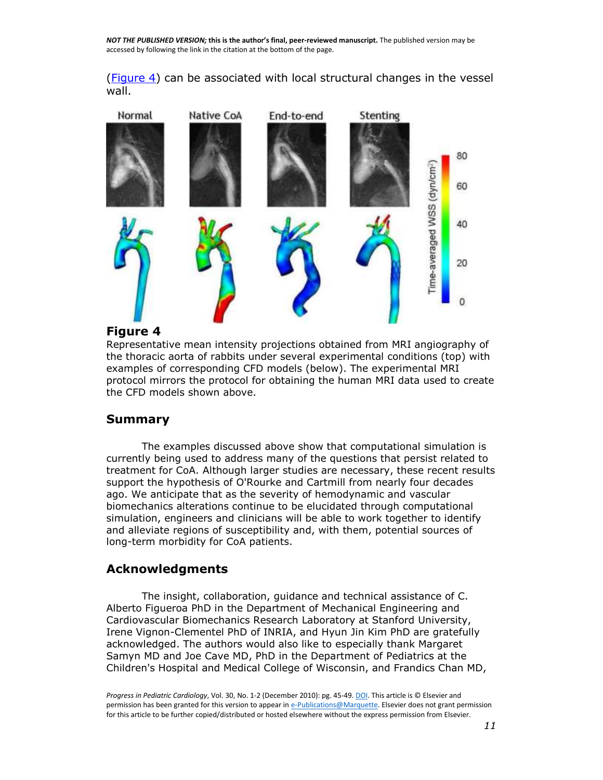[\(Figure 4\)](http://www.ncbi.nlm.nih.gov/pmc/articles/PMC2997687/figure/F4/) can be associated with local structural changes in the vessel wall.



### **[Figure 4](http://www.ncbi.nlm.nih.gov/pmc/articles/PMC2997687/figure/F4/)**

Representative mean intensity projections obtained from MRI angiography of the thoracic aorta of rabbits under several experimental conditions (top) with examples of corresponding CFD models (below). The experimental MRI protocol mirrors the protocol for obtaining the human MRI data used to create the CFD models shown above.

### **Summary**

The examples discussed above show that computational simulation is currently being used to address many of the questions that persist related to treatment for CoA. Although larger studies are necessary, these recent results support the hypothesis of O'Rourke and Cartmill from nearly four decades ago. We anticipate that as the severity of hemodynamic and vascular biomechanics alterations continue to be elucidated through computational simulation, engineers and clinicians will be able to work together to identify and alleviate regions of susceptibility and, with them, potential sources of long-term morbidity for CoA patients.

### **Acknowledgments**

The insight, collaboration, guidance and technical assistance of C. Alberto Figueroa PhD in the Department of Mechanical Engineering and Cardiovascular Biomechanics Research Laboratory at Stanford University, Irene Vignon-Clementel PhD of INRIA, and Hyun Jin Kim PhD are gratefully acknowledged. The authors would also like to especially thank Margaret Samyn MD and Joe Cave MD, PhD in the Department of Pediatrics at the Children's Hospital and Medical College of Wisconsin, and Frandics Chan MD,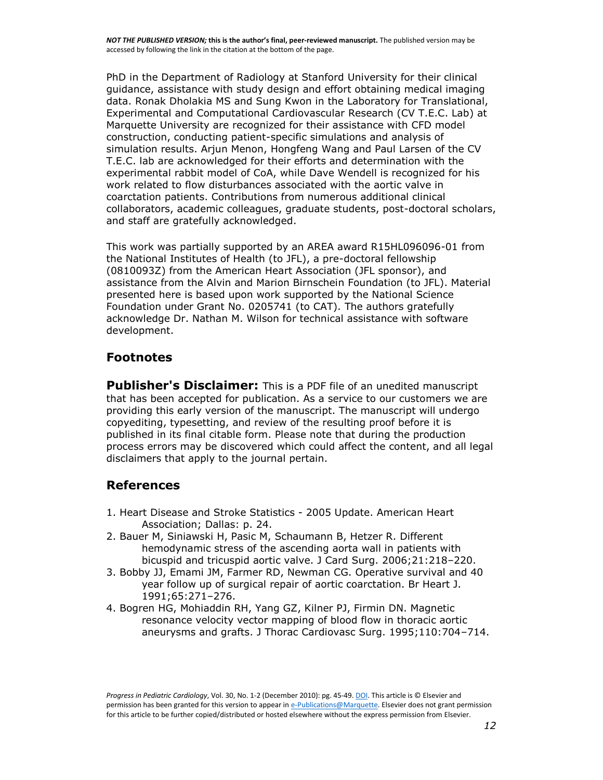PhD in the Department of Radiology at Stanford University for their clinical guidance, assistance with study design and effort obtaining medical imaging data. Ronak Dholakia MS and Sung Kwon in the Laboratory for Translational, Experimental and Computational Cardiovascular Research (CV T.E.C. Lab) at Marquette University are recognized for their assistance with CFD model construction, conducting patient-specific simulations and analysis of simulation results. Arjun Menon, Hongfeng Wang and Paul Larsen of the CV T.E.C. lab are acknowledged for their efforts and determination with the experimental rabbit model of CoA, while Dave Wendell is recognized for his work related to flow disturbances associated with the aortic valve in coarctation patients. Contributions from numerous additional clinical collaborators, academic colleagues, graduate students, post-doctoral scholars, and staff are gratefully acknowledged.

This work was partially supported by an AREA award R15HL096096-01 from the National Institutes of Health (to JFL), a pre-doctoral fellowship (0810093Z) from the American Heart Association (JFL sponsor), and assistance from the Alvin and Marion Birnschein Foundation (to JFL). Material presented here is based upon work supported by the National Science Foundation under Grant No. 0205741 (to CAT). The authors gratefully acknowledge Dr. Nathan M. Wilson for technical assistance with software development.

### **Footnotes**

**Publisher's Disclaimer:** This is a PDF file of an unedited manuscript that has been accepted for publication. As a service to our customers we are providing this early version of the manuscript. The manuscript will undergo copyediting, typesetting, and review of the resulting proof before it is published in its final citable form. Please note that during the production process errors may be discovered which could affect the content, and all legal disclaimers that apply to the journal pertain.

### **References**

- 1. Heart Disease and Stroke Statistics 2005 Update. American Heart Association; Dallas: p. 24.
- 2. Bauer M, Siniawski H, Pasic M, Schaumann B, Hetzer R. Different hemodynamic stress of the ascending aorta wall in patients with bicuspid and tricuspid aortic valve. J Card Surg. 2006;21:218–220.
- 3. Bobby JJ, Emami JM, Farmer RD, Newman CG. Operative survival and 40 year follow up of surgical repair of aortic coarctation. Br Heart J. 1991;65:271–276.
- 4. Bogren HG, Mohiaddin RH, Yang GZ, Kilner PJ, Firmin DN. Magnetic resonance velocity vector mapping of blood flow in thoracic aortic aneurysms and grafts. J Thorac Cardiovasc Surg. 1995;110:704–714.

*Progress in Pediatric Cardiology*, Vol. 30, No. 1-2 (December 2010): pg. 45-49[. DOI.](http://dx.doi.org/10.1016/j.ppedcard.2010.09.006) This article is © Elsevier and permission has been granted for this version to appear i[n e-Publications@Marquette.](http://epublications.marquette.edu/) Elsevier does not grant permission for this article to be further copied/distributed or hosted elsewhere without the express permission from Elsevier.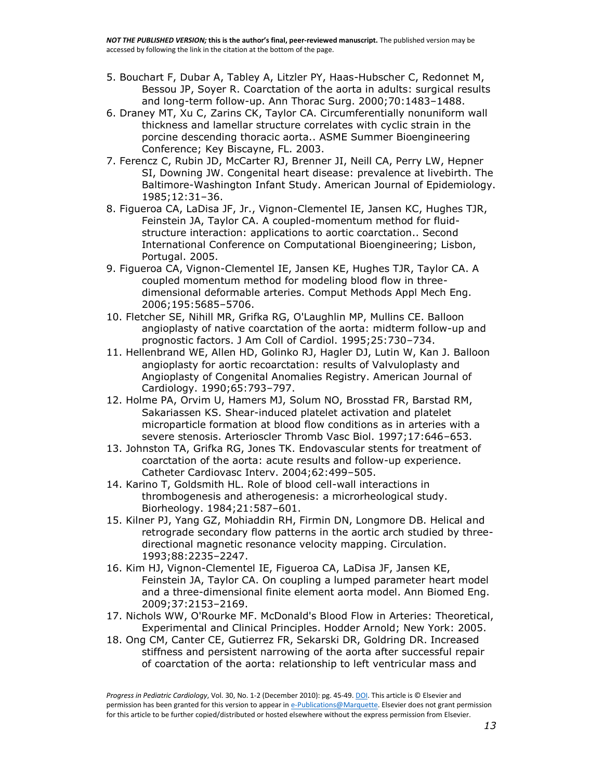- 5. Bouchart F, Dubar A, Tabley A, Litzler PY, Haas-Hubscher C, Redonnet M, Bessou JP, Soyer R. Coarctation of the aorta in adults: surgical results and long-term follow-up. Ann Thorac Surg. 2000;70:1483–1488.
- 6. Draney MT, Xu C, Zarins CK, Taylor CA. Circumferentially nonuniform wall thickness and lamellar structure correlates with cyclic strain in the porcine descending thoracic aorta.. ASME Summer Bioengineering Conference; Key Biscayne, FL. 2003.
- 7. Ferencz C, Rubin JD, McCarter RJ, Brenner JI, Neill CA, Perry LW, Hepner SI, Downing JW. Congenital heart disease: prevalence at livebirth. The Baltimore-Washington Infant Study. American Journal of Epidemiology. 1985;12:31–36.
- 8. Figueroa CA, LaDisa JF, Jr., Vignon-Clementel IE, Jansen KC, Hughes TJR, Feinstein JA, Taylor CA. A coupled-momentum method for fluidstructure interaction: applications to aortic coarctation.. Second International Conference on Computational Bioengineering; Lisbon, Portugal. 2005.
- 9. Figueroa CA, Vignon-Clementel IE, Jansen KE, Hughes TJR, Taylor CA. A coupled momentum method for modeling blood flow in threedimensional deformable arteries. Comput Methods Appl Mech Eng. 2006;195:5685–5706.
- 10. Fletcher SE, Nihill MR, Grifka RG, O'Laughlin MP, Mullins CE. Balloon angioplasty of native coarctation of the aorta: midterm follow-up and prognostic factors. J Am Coll of Cardiol. 1995;25:730–734.
- 11. Hellenbrand WE, Allen HD, Golinko RJ, Hagler DJ, Lutin W, Kan J. Balloon angioplasty for aortic recoarctation: results of Valvuloplasty and Angioplasty of Congenital Anomalies Registry. American Journal of Cardiology. 1990;65:793–797.
- 12. Holme PA, Orvim U, Hamers MJ, Solum NO, Brosstad FR, Barstad RM, Sakariassen KS. Shear-induced platelet activation and platelet microparticle formation at blood flow conditions as in arteries with a severe stenosis. Arterioscler Thromb Vasc Biol. 1997;17:646–653.
- 13. Johnston TA, Grifka RG, Jones TK. Endovascular stents for treatment of coarctation of the aorta: acute results and follow-up experience. Catheter Cardiovasc Interv. 2004;62:499–505.
- 14. Karino T, Goldsmith HL. Role of blood cell-wall interactions in thrombogenesis and atherogenesis: a microrheological study. Biorheology. 1984;21:587–601.
- 15. Kilner PJ, Yang GZ, Mohiaddin RH, Firmin DN, Longmore DB. Helical and retrograde secondary flow patterns in the aortic arch studied by threedirectional magnetic resonance velocity mapping. Circulation. 1993;88:2235–2247.
- 16. Kim HJ, Vignon-Clementel IE, Figueroa CA, LaDisa JF, Jansen KE, Feinstein JA, Taylor CA. On coupling a lumped parameter heart model and a three-dimensional finite element aorta model. Ann Biomed Eng. 2009;37:2153–2169.
- 17. Nichols WW, O'Rourke MF. McDonald's Blood Flow in Arteries: Theoretical, Experimental and Clinical Principles. Hodder Arnold; New York: 2005.
- 18. Ong CM, Canter CE, Gutierrez FR, Sekarski DR, Goldring DR. Increased stiffness and persistent narrowing of the aorta after successful repair of coarctation of the aorta: relationship to left ventricular mass and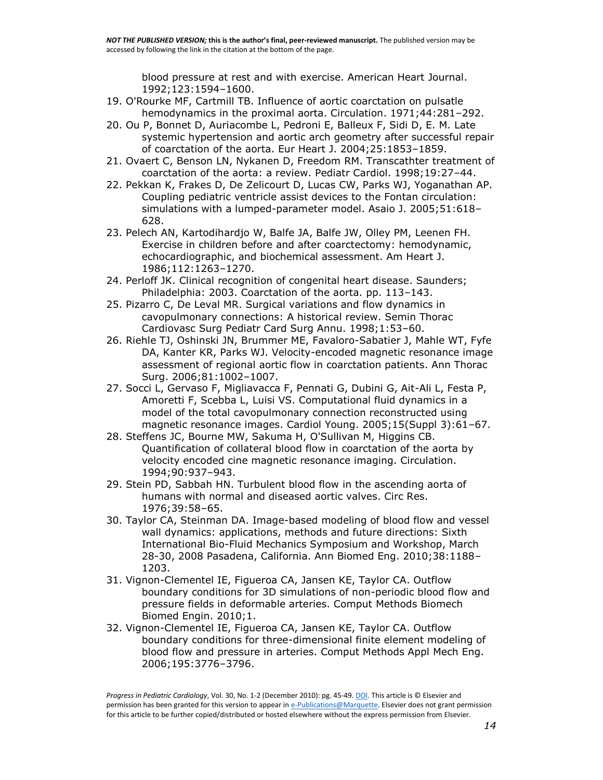blood pressure at rest and with exercise. American Heart Journal. 1992;123:1594–1600.

- 19. O'Rourke MF, Cartmill TB. Influence of aortic coarctation on pulsatle hemodynamics in the proximal aorta. Circulation. 1971;44:281–292.
- 20. Ou P, Bonnet D, Auriacombe L, Pedroni E, Balleux F, Sidi D, E. M. Late systemic hypertension and aortic arch geometry after successful repair of coarctation of the aorta. Eur Heart J. 2004;25:1853–1859.
- 21. Ovaert C, Benson LN, Nykanen D, Freedom RM. Transcathter treatment of coarctation of the aorta: a review. Pediatr Cardiol. 1998;19:27–44.
- 22. Pekkan K, Frakes D, De Zelicourt D, Lucas CW, Parks WJ, Yoganathan AP. Coupling pediatric ventricle assist devices to the Fontan circulation: simulations with a lumped-parameter model. Asaio J. 2005;51:618– 628.
- 23. Pelech AN, Kartodihardjo W, Balfe JA, Balfe JW, Olley PM, Leenen FH. Exercise in children before and after coarctectomy: hemodynamic, echocardiographic, and biochemical assessment. Am Heart J. 1986;112:1263–1270.
- 24. Perloff JK. Clinical recognition of congenital heart disease. Saunders; Philadelphia: 2003. Coarctation of the aorta. pp. 113–143.
- 25. Pizarro C, De Leval MR. Surgical variations and flow dynamics in cavopulmonary connections: A historical review. Semin Thorac Cardiovasc Surg Pediatr Card Surg Annu. 1998;1:53–60.
- 26. Riehle TJ, Oshinski JN, Brummer ME, Favaloro-Sabatier J, Mahle WT, Fyfe DA, Kanter KR, Parks WJ. Velocity-encoded magnetic resonance image assessment of regional aortic flow in coarctation patients. Ann Thorac Surg. 2006;81:1002–1007.
- 27. Socci L, Gervaso F, Migliavacca F, Pennati G, Dubini G, Ait-Ali L, Festa P, Amoretti F, Scebba L, Luisi VS. Computational fluid dynamics in a model of the total cavopulmonary connection reconstructed using magnetic resonance images. Cardiol Young. 2005;15(Suppl 3):61–67.
- 28. Steffens JC, Bourne MW, Sakuma H, O'Sullivan M, Higgins CB. Quantification of collateral blood flow in coarctation of the aorta by velocity encoded cine magnetic resonance imaging. Circulation. 1994;90:937–943.
- 29. Stein PD, Sabbah HN. Turbulent blood flow in the ascending aorta of humans with normal and diseased aortic valves. Circ Res. 1976;39:58–65.
- 30. Taylor CA, Steinman DA. Image-based modeling of blood flow and vessel wall dynamics: applications, methods and future directions: Sixth International Bio-Fluid Mechanics Symposium and Workshop, March 28-30, 2008 Pasadena, California. Ann Biomed Eng. 2010;38:1188– 1203.
- 31. Vignon-Clementel IE, Figueroa CA, Jansen KE, Taylor CA. Outflow boundary conditions for 3D simulations of non-periodic blood flow and pressure fields in deformable arteries. Comput Methods Biomech Biomed Engin. 2010;1.
- 32. Vignon-Clementel IE, Figueroa CA, Jansen KE, Taylor CA. Outflow boundary conditions for three-dimensional finite element modeling of blood flow and pressure in arteries. Comput Methods Appl Mech Eng. 2006;195:3776–3796.